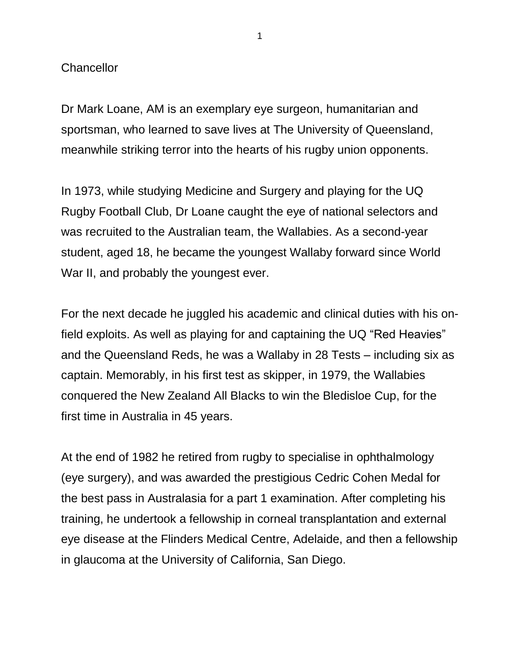## **Chancellor**

Dr Mark Loane, AM is an exemplary eye surgeon, humanitarian and sportsman, who learned to save lives at The University of Queensland, meanwhile striking terror into the hearts of his rugby union opponents.

In 1973, while studying Medicine and Surgery and playing for the UQ Rugby Football Club, Dr Loane caught the eye of national selectors and was recruited to the Australian team, the Wallabies. As a second-year student, aged 18, he became the youngest Wallaby forward since World War II, and probably the youngest ever.

For the next decade he juggled his academic and clinical duties with his onfield exploits. As well as playing for and captaining the UQ "Red Heavies" and the Queensland Reds, he was a Wallaby in 28 Tests – including six as captain. Memorably, in his first test as skipper, in 1979, the Wallabies conquered the New Zealand All Blacks to win the Bledisloe Cup, for the first time in Australia in 45 years.

At the end of 1982 he retired from rugby to specialise in ophthalmology (eye surgery), and was awarded the prestigious Cedric Cohen Medal for the best pass in Australasia for a part 1 examination. After completing his training, he undertook a fellowship in corneal transplantation and external eye disease at the Flinders Medical Centre, Adelaide, and then a fellowship in glaucoma at the University of California, San Diego.

1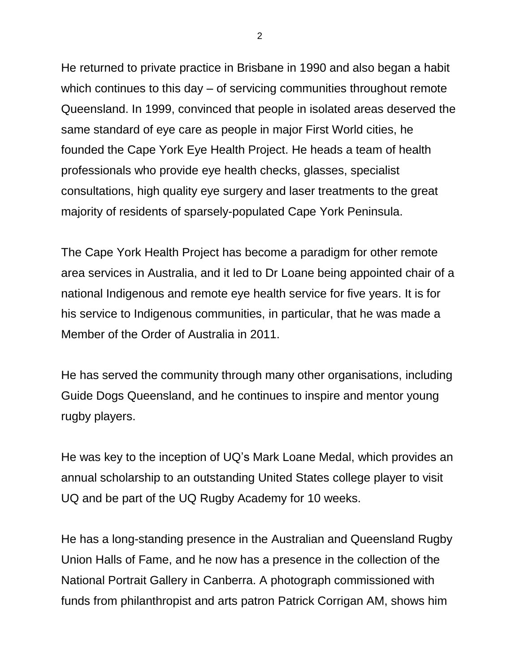He returned to private practice in Brisbane in 1990 and also began a habit which continues to this day – of servicing communities throughout remote Queensland. In 1999, convinced that people in isolated areas deserved the same standard of eye care as people in major First World cities, he founded the Cape York Eye Health Project. He heads a team of health professionals who provide eye health checks, glasses, specialist consultations, high quality eye surgery and laser treatments to the great majority of residents of sparsely-populated Cape York Peninsula.

The Cape York Health Project has become a paradigm for other remote area services in Australia, and it led to Dr Loane being appointed chair of a national Indigenous and remote eye health service for five years. It is for his service to Indigenous communities, in particular, that he was made a Member of the Order of Australia in 2011.

He has served the community through many other organisations, including Guide Dogs Queensland, and he continues to inspire and mentor young rugby players.

He was key to the inception of UQ's Mark Loane Medal, which provides an annual scholarship to an outstanding United States college player to visit UQ and be part of the UQ Rugby Academy for 10 weeks.

He has a long-standing presence in the Australian and Queensland Rugby Union Halls of Fame, and he now has a presence in the collection of the National Portrait Gallery in Canberra. A photograph commissioned with funds from philanthropist and arts patron Patrick Corrigan AM, shows him